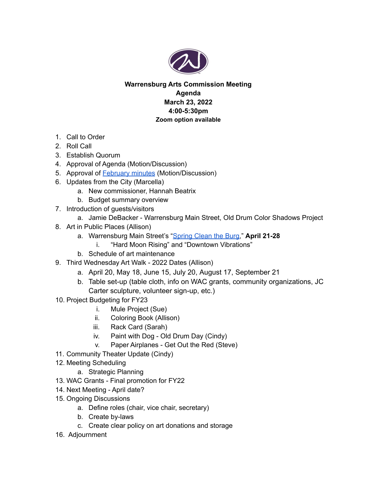

#### **Warrensburg Arts Commission Meeting Agenda March 23, 2022 4:00-5:30pm Zoom option available**

- 1. Call to Order
- 2. Roll Call
- 3. Establish Quorum
- 4. Approval of Agenda (Motion/Discussion)
- 5. Approval of **[February](https://docs.google.com/document/d/13IuOJEufy6ImxnO0-kSGQsZA2VgdCbLO/edit?usp=sharing&ouid=109847559236638887689&rtpof=true&sd=true) minutes** (Motion/Discussion)
- 6. Updates from the City (Marcella)
	- a. New commissioner, Hannah Beatrix
	- b. Budget summary overview
- 7. Introduction of guests/visitors
	- a. Jamie DeBacker Warrensburg Main Street, Old Drum Color Shadows Project
- 8. Art in Public Places (Allison)
	- a. Warrensburg Main Street's "[Spring](https://warrensburgmainstreet.org/event/spring-clean-the-burg/) Clean the Burg," **April 21-28**
		- i. "Hard Moon Rising" and "Downtown Vibrations"
	- b. Schedule of art maintenance
- 9. Third Wednesday Art Walk 2022 Dates (Allison)
	- a. April 20, May 18, June 15, July 20, August 17, September 21
	- b. Table set-up (table cloth, info on WAC grants, community organizations, JC Carter sculpture, volunteer sign-up, etc.)
- 10. Project Budgeting for FY23
	- i. Mule Project (Sue)
	- ii. Coloring Book (Allison)
	- iii. Rack Card (Sarah)
	- iv. Paint with Dog Old Drum Day (Cindy)
	- v. Paper Airplanes Get Out the Red (Steve)
- 11. Community Theater Update (Cindy)
- 12. Meeting Scheduling
	- a. Strategic Planning
- 13. WAC Grants Final promotion for FY22
- 14. Next Meeting April date?
- 15. Ongoing Discussions
	- a. Define roles (chair, vice chair, secretary)
	- b. Create by-laws
	- c. Create clear policy on art donations and storage
- 16. Adjournment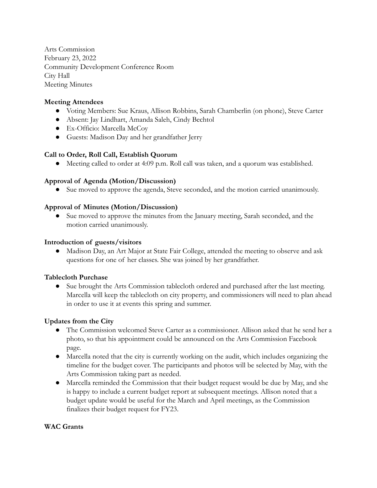Arts Commission February 23, 2022 Community Development Conference Room City Hall Meeting Minutes

#### **Meeting Attendees**

- Voting Members: Sue Kraus, Allison Robbins, Sarah Chamberlin (on phone), Steve Carter
- Absent: Jay Lindhart, Amanda Saleh, Cindy Bechtol
- Ex-Officio: Marcella McCoy
- Guests: Madison Day and her grandfather Jerry

#### **Call to Order, Roll Call, Establish Quorum**

● Meeting called to order at 4:09 p.m. Roll call was taken, and a quorum was established.

#### **Approval of Agenda (Motion/Discussion)**

● Sue moved to approve the agenda, Steve seconded, and the motion carried unanimously.

#### **Approval of Minutes (Motion/Discussion)**

● Sue moved to approve the minutes from the January meeting, Sarah seconded, and the motion carried unanimously.

#### **Introduction of guests/visitors**

● Madison Day, an Art Major at State Fair College, attended the meeting to observe and ask questions for one of her classes. She was joined by her grandfather.

#### **Tablecloth Purchase**

**●** Sue brought the Arts Commission tablecloth ordered and purchased after the last meeting. Marcella will keep the tablecloth on city property, and commissioners will need to plan ahead in order to use it at events this spring and summer.

#### **Updates from the City**

- The Commission welcomed Steve Carter as a commissioner. Allison asked that he send her a photo, so that his appointment could be announced on the Arts Commission Facebook page.
- Marcella noted that the city is currently working on the audit, which includes organizing the timeline for the budget cover. The participants and photos will be selected by May, with the Arts Commission taking part as needed.
- Marcella reminded the Commission that their budget request would be due by May, and she is happy to include a current budget report at subsequent meetings. Allison noted that a budget update would be useful for the March and April meetings, as the Commission finalizes their budget request for FY23.

#### **WAC Grants**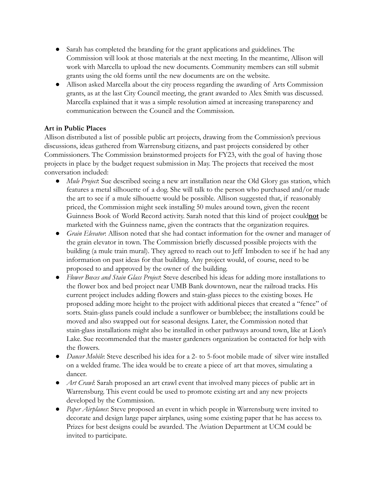- Sarah has completed the branding for the grant applications and guidelines. The Commission will look at those materials at the next meeting. In the meantime, Allison will work with Marcella to upload the new documents. Community members can still submit grants using the old forms until the new documents are on the website.
- Allison asked Marcella about the city process regarding the awarding of Arts Commission grants, as at the last City Council meeting, the grant awarded to Alex Smith was discussed. Marcella explained that it was a simple resolution aimed at increasing transparency and communication between the Council and the Commission.

#### **Art in Public Places**

Allison distributed a list of possible public art projects, drawing from the Commission's previous discussions, ideas gathered from Warrensburg citizens, and past projects considered by other Commissioners. The Commission brainstormed projects for FY23, with the goal of having those projects in place by the budget request submission in May. The projects that received the most conversation included:

- *● Mule Project*: Sue described seeing a new art installation near the Old Glory gas station, which features a metal silhouette of a dog. She will talk to the person who purchased and/or made the art to see if a mule silhouette would be possible. Allison suggested that, if reasonably priced, the Commission might seek installing 50 mules around town, given the recent Guinness Book of World Record activity. Sarah noted that this kind of project could**not** be marketed with the Guinness name, given the contracts that the organization requires.
- *● Grain Elevator*: Allison noted that she had contact information for the owner and manager of the grain elevator in town. The Commission briefly discussed possible projects with the building (a mule train mural). They agreed to reach out to Jeff Imboden to see if he had any information on past ideas for that building. Any project would, of course, need to be proposed to and approved by the owner of the building.
- *● Flower Boxes and Stain Glass Project*: Steve described his ideas for adding more installations to the flower box and bed project near UMB Bank downtown, near the railroad tracks. His current project includes adding flowers and stain-glass pieces to the existing boxes. He proposed adding more height to the project with additional pieces that created a "fence" of sorts. Stain-glass panels could include a sunflower or bumblebee; the installations could be moved and also swapped out for seasonal designs. Later, the Commission noted that stain*-*glass installations might also be installed in other pathways around town, like at Lion's Lake. Sue recommended that the master gardeners organization be contacted for help with the flowers.
- *● Dancer Mobile*: Steve described his idea for a 2- to 5-foot mobile made of silver wire installed on a welded frame. The idea would be to create a piece of art that moves, simulating a dancer.
- *● Art Crawl*: Sarah proposed an art crawl event that involved many pieces of public art in Warrensburg. This event could be used to promote existing art and any new projects developed by the Commission.
- *● Paper Airplanes*: Steve proposed an event in which people in Warrensburg were invited to decorate and design large paper airplanes, using some existing paper that he has access to. Prizes for best designs could be awarded. The Aviation Department at UCM could be invited to participate.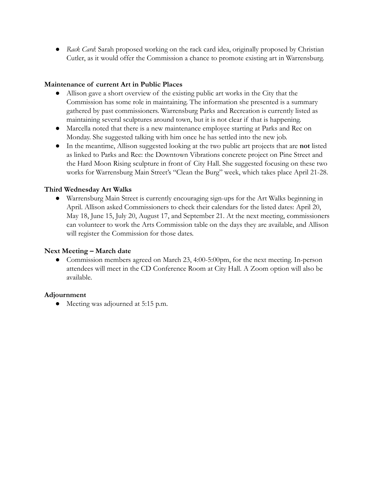*● Rack Card*: Sarah proposed working on the rack card idea, originally proposed by Christian Cutler, as it would offer the Commission a chance to promote existing art in Warrensburg.

#### **Maintenance of current Art in Public Places**

- Allison gave a short overview of the existing public art works in the City that the Commission has some role in maintaining. The information she presented is a summary gathered by past commissioners. Warrensburg Parks and Recreation is currently listed as maintaining several sculptures around town, but it is not clear if that is happening.
- Marcella noted that there is a new maintenance employee starting at Parks and Rec on Monday. She suggested talking with him once he has settled into the new job.
- In the meantime, Allison suggested looking at the two public art projects that are **not** listed as linked to Parks and Rec: the Downtown Vibrations concrete project on Pine Street and the Hard Moon Rising sculpture in front of City Hall. She suggested focusing on these two works for Warrensburg Main Street's "Clean the Burg" week, which takes place April 21-28.

#### **Third Wednesday Art Walks**

● Warrensburg Main Street is currently encouraging sign-ups for the Art Walks beginning in April. Allison asked Commissioners to check their calendars for the listed dates: April 20, May 18, June 15, July 20, August 17, and September 21. At the next meeting, commissioners can volunteer to work the Arts Commission table on the days they are available, and Allison will register the Commission for those dates.

#### **Next Meeting – March date**

• Commission members agreed on March 23, 4:00-5:00pm, for the next meeting. In-person attendees will meet in the CD Conference Room at City Hall. A Zoom option will also be available.

#### **Adjournment**

● Meeting was adjourned at 5:15 p.m.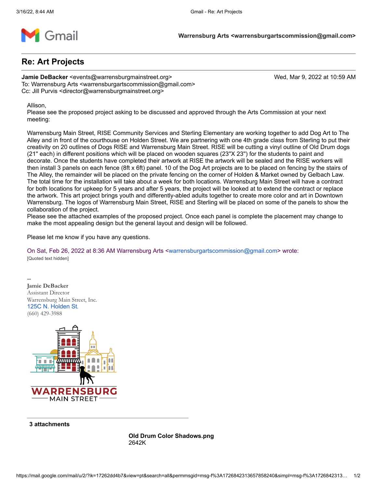

#### **Re: Art Projects**

**Jamie DeBacker** <events@warrensburgmainstreet.org> Wed, Mar 9, 2022 at 10:59 AM To: Warrensburg Arts <warrensburgartscommission@gmail.com> Cc: Jill Purvis <director@warrensburgmainstreet.org>

Allison,

Please see the proposed project asking to be discussed and approved through the Arts Commission at your next meeting:

Warrensburg Main Street, RISE Community Services and Sterling Elementary are working together to add Dog Art to The Alley and in front of the courthouse on Holden Street. We are partnering with one 4th grade class from Sterling to put their creativity on 20 outlines of Dogs RISE and Warrensburg Main Street. RISE will be cutting a vinyl outline of Old Drum dogs (21'' each) in different positions which will be placed on wooden squares (23''X 23'') for the students to paint and decorate. Once the students have completed their artwork at RISE the artwork will be sealed and the RISE workers will then install 3 panels on each fence (8ft x 6ft) panel. 10 of the Dog Art projects are to be placed on fencing by the stairs of The Alley, the remainder will be placed on the private fencing on the corner of Holden & Market owned by Gelbach Law. The total time for the installation will take about a week for both locations. Warrensburg Main Street will have a contract for both locations for upkeep for 5 years and after 5 years, the project will be looked at to extend the contract or replace the artwork. This art project brings youth and differently-abled adults together to create more color and art in Downtown Warrensburg. The logos of Warrensburg Main Street, RISE and Sterling will be placed on some of the panels to show the collaboration of the project.

Please see the attached examples of the proposed project. Once each panel is complete the placement may change to make the most appealing design but the general layout and design will be followed.

Please let me know if you have any questions.

On Sat, Feb 26, 2022 at 8:36 AM Warrensburg Arts [<warrensburgartscommission@gmail.com](mailto:warrensburgartscommission@gmail.com)> wrote: [Quoted text hidden]

-- **Jamie DeBacker** Assistant Director Warrensburg Main Street, Inc. [125C N. Holden St](https://www.google.com/maps/search/125C+N.+Holden+St?entry=gmail&source=g). (660) 429-3988



**3 attachments**

**Old Drum Color Shadows.png** 2642K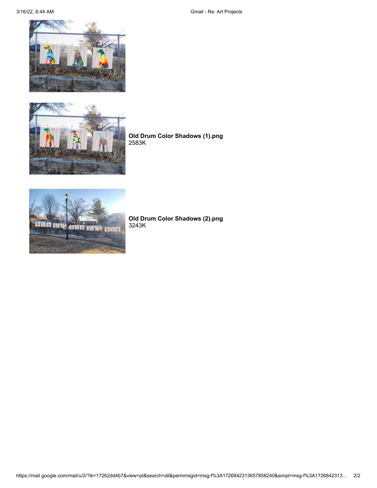3/16/22, 8:44 AM Gmail - Re: Art Projects





**Old Drum Color Shadows (1).png** 2583K



**Old Drum Color Shadows (2).png** 3243K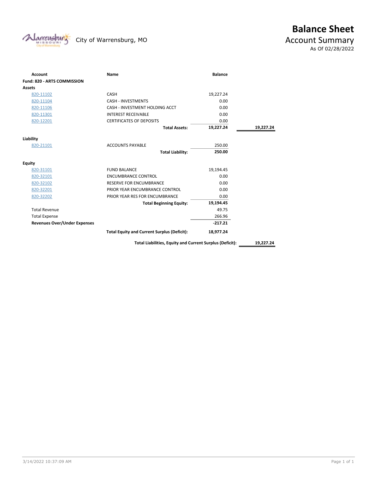

# **Balance Sheet**<br>Account Summary As Of 02/28/2022

| <b>Account</b>                      | Name                                                     | <b>Balance</b> |           |
|-------------------------------------|----------------------------------------------------------|----------------|-----------|
| Fund: 820 - ARTS COMMISSION         |                                                          |                |           |
| <b>Assets</b>                       |                                                          |                |           |
| 820-11102                           | CASH                                                     | 19,227.24      |           |
| 820-11104                           | <b>CASH - INVESTMENTS</b>                                | 0.00           |           |
| 820-11106                           | CASH - INVESTMENT HOLDING ACCT                           | 0.00           |           |
| 820-11301                           | <b>INTEREST RECEIVABLE</b>                               | 0.00           |           |
| 820-12201                           | <b>CERTIFICATES OF DEPOSITS</b>                          | 0.00           |           |
|                                     | <b>Total Assets:</b>                                     | 19,227.24      | 19,227.24 |
| Liability                           |                                                          |                |           |
| 820-21101                           | <b>ACCOUNTS PAYABLE</b>                                  | 250.00         |           |
|                                     | <b>Total Liability:</b>                                  | 250.00         |           |
| <b>Equity</b>                       |                                                          |                |           |
| 820-31101                           | <b>FUND BALANCE</b>                                      | 19,194.45      |           |
| 820-32101                           | <b>ENCUMBRANCE CONTROL</b>                               | 0.00           |           |
| 820-32102                           | <b>RESERVE FOR ENCUMBRANCE</b>                           | 0.00           |           |
| 820-32201                           | PRIOR YEAR ENCUMBRANCE CONTROL                           | 0.00           |           |
| 820-32202                           | PRIOR YEAR RES FOR ENCUMBRANCE                           | 0.00           |           |
|                                     | <b>Total Beginning Equity:</b>                           | 19,194.45      |           |
| <b>Total Revenue</b>                |                                                          | 49.75          |           |
| <b>Total Expense</b>                |                                                          | 266.96         |           |
| <b>Revenues Over/Under Expenses</b> |                                                          | $-217.21$      |           |
|                                     | <b>Total Equity and Current Surplus (Deficit):</b>       | 18,977.24      |           |
|                                     | Total Liabilities, Equity and Current Surplus (Deficit): |                | 19,227.24 |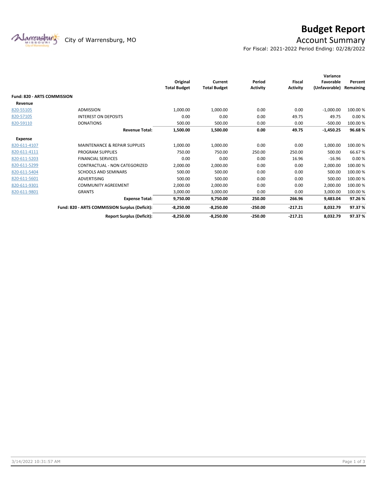

## **Budget Report**

For Fiscal: 2021-2022 Period Ending: 02/28/2022

|                                    |                                                | Original<br><b>Total Budget</b> | Current<br><b>Total Budget</b> | Period<br><b>Activity</b> | <b>Fiscal</b><br><b>Activity</b> | Variance<br>Favorable<br>(Unfavorable) | Percent<br>Remaining |
|------------------------------------|------------------------------------------------|---------------------------------|--------------------------------|---------------------------|----------------------------------|----------------------------------------|----------------------|
| <b>Fund: 820 - ARTS COMMISSION</b> |                                                |                                 |                                |                           |                                  |                                        |                      |
| Revenue                            |                                                |                                 |                                |                           |                                  |                                        |                      |
| 820-55105                          | <b>ADMISSION</b>                               | 1,000.00                        | 1,000.00                       | 0.00                      | 0.00                             | $-1,000.00$                            | 100.00%              |
| 820-57105                          | <b>INTEREST ON DEPOSITS</b>                    | 0.00                            | 0.00                           | 0.00                      | 49.75                            | 49.75                                  | 0.00%                |
| 820-59110                          | <b>DONATIONS</b>                               | 500.00                          | 500.00                         | 0.00                      | 0.00                             | $-500.00$                              | 100.00%              |
|                                    | <b>Revenue Total:</b>                          | 1,500.00                        | 1,500.00                       | 0.00                      | 49.75                            | $-1,450.25$                            | 96.68%               |
| <b>Expense</b>                     |                                                |                                 |                                |                           |                                  |                                        |                      |
| 820-611-4107                       | <b>MAINTENANCE &amp; REPAIR SUPPLIES</b>       | 1,000.00                        | 1,000.00                       | 0.00                      | 0.00                             | 1,000.00                               | 100.00%              |
| 820-611-4111                       | <b>PROGRAM SUPPLIES</b>                        | 750.00                          | 750.00                         | 250.00                    | 250.00                           | 500.00                                 | 66.67%               |
| 820-611-5203                       | <b>FINANCIAL SERVICES</b>                      | 0.00                            | 0.00                           | 0.00                      | 16.96                            | $-16.96$                               | 0.00%                |
| 820-611-5299                       | CONTRACTUAL - NON CATEGORIZED                  | 2,000.00                        | 2,000.00                       | 0.00                      | 0.00                             | 2,000.00                               | 100.00%              |
| 820-611-5404                       | <b>SCHOOLS AND SEMINARS</b>                    | 500.00                          | 500.00                         | 0.00                      | 0.00                             | 500.00                                 | 100.00%              |
| 820-611-5601                       | <b>ADVERTISING</b>                             | 500.00                          | 500.00                         | 0.00                      | 0.00                             | 500.00                                 | 100.00%              |
| 820-611-9301                       | <b>COMMUNITY AGREEMENT</b>                     | 2,000.00                        | 2,000.00                       | 0.00                      | 0.00                             | 2,000.00                               | 100.00%              |
| 820-611-9801                       | <b>GRANTS</b>                                  | 3.000.00                        | 3.000.00                       | 0.00                      | 0.00                             | 3.000.00                               | 100.00%              |
|                                    | <b>Expense Total:</b>                          | 9,750.00                        | 9,750.00                       | 250.00                    | 266.96                           | 9,483.04                               | 97.26%               |
|                                    | Fund: 820 - ARTS COMMISSION Surplus (Deficit): | $-8,250.00$                     | $-8,250.00$                    | $-250.00$                 | $-217.21$                        | 8,032.79                               | 97.37 %              |
|                                    | <b>Report Surplus (Deficit):</b>               | $-8,250.00$                     | $-8,250.00$                    | $-250.00$                 | $-217.21$                        | 8,032.79                               | 97.37%               |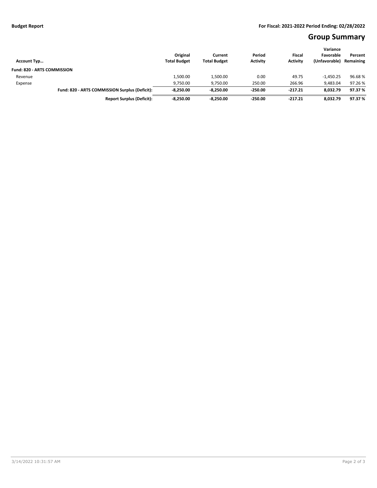### **Group Summary**

| <b>Account Typ</b>                 |                                                | Original<br><b>Total Budget</b> | Current<br><b>Total Budget</b> | Period<br><b>Activity</b> | <b>Fiscal</b><br><b>Activity</b> | Variance<br>Favorable<br>(Unfavorable) | Percent<br>Remaining |
|------------------------------------|------------------------------------------------|---------------------------------|--------------------------------|---------------------------|----------------------------------|----------------------------------------|----------------------|
| <b>Fund: 820 - ARTS COMMISSION</b> |                                                |                                 |                                |                           |                                  |                                        |                      |
| Revenue                            |                                                | 1,500.00                        | 1,500.00                       | 0.00                      | 49.75                            | $-1,450.25$                            | 96.68%               |
| Expense                            |                                                | 9,750.00                        | 9.750.00                       | 250.00                    | 266.96                           | 9.483.04                               | 97.26 %              |
|                                    | Fund: 820 - ARTS COMMISSION Surplus (Deficit): | $-8.250.00$                     | $-8.250.00$                    | $-250.00$                 | $-217.21$                        | 8.032.79                               | 97.37 %              |
|                                    | <b>Report Surplus (Deficit):</b>               | $-8.250.00$                     | $-8.250.00$                    | $-250.00$                 | -217.21                          | 8,032.79                               | 97.37 %              |